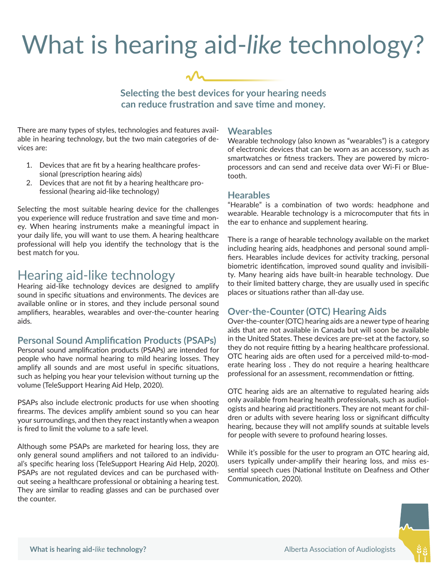# What is hearing aid-*like* technology?



**Selecting the best devices for your hearing needs can reduce frustration and save time and money.**

There are many types of styles, technologies and features available in hearing technology, but the two main categories of devices are:

- 1. Devices that are fit by a hearing healthcare professional (prescription hearing aids)
- 2. Devices that are not fit by a hearing healthcare professional (hearing aid-like technology)

Selecting the most suitable hearing device for the challenges you experience will reduce frustration and save time and money. When hearing instruments make a meaningful impact in your daily life, you will want to use them. A hearing healthcare professional will help you identify the technology that is the best match for you.

### Hearing aid-like technology

Hearing aid-like technology devices are designed to amplify sound in specific situations and environments. The devices are available online or in stores, and they include personal sound amplifiers, hearables, wearables and over-the-counter hearing aids.

#### **Personal Sound Amplification Products (PSAPs)**

Personal sound amplification products (PSAPs) are intended for people who have normal hearing to mild hearing losses. They amplify all sounds and are most useful in specific situations, such as helping you hear your television without turning up the volume (TeleSupport Hearing Aid Help, 2020).

PSAPs also include electronic products for use when shooting firearms. The devices amplify ambient sound so you can hear your surroundings, and then they react instantly when a weapon is fired to limit the volume to a safe level.

Although some PSAPs are marketed for hearing loss, they are only general sound amplifiers and not tailored to an individual's specific hearing loss (TeleSupport Hearing Aid Help, 2020). PSAPs are not regulated devices and can be purchased without seeing a healthcare professional or obtaining a hearing test. They are similar to reading glasses and can be purchased over the counter.

#### **Wearables**

Wearable technology (also known as "wearables") is a category of electronic devices that can be worn as an accessory, such as smartwatches or fitness trackers. They are powered by microprocessors and can send and receive data over Wi-Fi or Bluetooth.

#### **Hearables**

"Hearable" is a combination of two words: headphone and wearable. Hearable technology is a microcomputer that fits in the ear to enhance and supplement hearing.

There is a range of hearable technology available on the market including hearing aids, headphones and personal sound amplifiers. Hearables include devices for activity tracking, personal biometric identification, improved sound quality and invisibility. Many hearing aids have built-in hearable technology. Due to their limited battery charge, they are usually used in specific places or situations rather than all-day use.

### **Over-the-Counter (OTC) Hearing Aids**

Over-the-counter (OTC) hearing aids are a newer type of hearing aids that are not available in Canada but will soon be available in the United States. These devices are pre-set at the factory, so they do not require fitting by a hearing healthcare professional. OTC hearing aids are often used for a perceived mild-to-moderate hearing loss . They do not require a hearing healthcare professional for an assessment, recommendation or fitting.

OTC hearing aids are an alternative to regulated hearing aids only available from hearing health professionals, such as audiologists and hearing aid practitioners. They are not meant for children or adults with severe hearing loss or significant difficulty hearing, because they will not amplify sounds at suitable levels for people with severe to profound hearing losses.

While it's possible for the user to program an OTC hearing aid, users typically under-amplify their hearing loss, and miss essential speech cues (National Institute on Deafness and Other Communication, 2020).

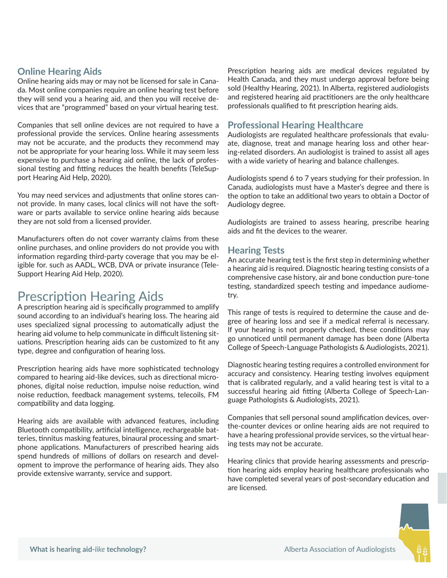### **Online Hearing Aids**

Online hearing aids may or may not be licensed for sale in Canada. Most online companies require an online hearing test before they will send you a hearing aid, and then you will receive devices that are "programmed" based on your virtual hearing test.

Companies that sell online devices are not required to have a professional provide the services. Online hearing assessments may not be accurate, and the products they recommend may not be appropriate for your hearing loss. While it may seem less expensive to purchase a hearing aid online, the lack of professional testing and fitting reduces the health benefits (TeleSupport Hearing Aid Help, 2020).

You may need services and adjustments that online stores cannot provide. In many cases, local clinics will not have the software or parts available to service online hearing aids because they are not sold from a licensed provider.

Manufacturers often do not cover warranty claims from these online purchases, and online providers do not provide you with information regarding third-party coverage that you may be eligible for. such as AADL, WCB, DVA or private insurance (Tele-Support Hearing Aid Help, 2020).

## Prescription Hearing Aids

A prescription hearing aid is specifically programmed to amplify sound according to an individual's hearing loss. The hearing aid uses specialized signal processing to automatically adjust the hearing aid volume to help communicate in difficult listening situations. Prescription hearing aids can be customized to fit any type, degree and configuration of hearing loss.

Prescription hearing aids have more sophisticated technology compared to hearing aid-like devices, such as directional microphones, digital noise reduction, impulse noise reduction, wind noise reduction, feedback management systems, telecoils, FM compatibility and data logging.

Hearing aids are available with advanced features, including Bluetooth compatibility, artificial intelligence, rechargeable batteries, tinnitus masking features, binaural processing and smartphone applications. Manufacturers of prescribed hearing aids spend hundreds of millions of dollars on research and development to improve the performance of hearing aids. They also provide extensive warranty, service and support.

Prescription hearing aids are medical devices regulated by Health Canada, and they must undergo approval before being sold (Healthy Hearing, 2021). In Alberta, registered audiologists and registered hearing aid practitioners are the only healthcare professionals qualified to fit prescription hearing aids.

### **Professional Hearing Healthcare**

Audiologists are regulated healthcare professionals that evaluate, diagnose, treat and manage hearing loss and other hearing-related disorders. An audiologist is trained to assist all ages with a wide variety of hearing and balance challenges.

Audiologists spend 6 to 7 years studying for their profession. In Canada, audiologists must have a Master's degree and there is the option to take an additional two years to obtain a Doctor of Audiology degree.

Audiologists are trained to assess hearing, prescribe hearing aids and fit the devices to the wearer.

### **Hearing Tests**

An accurate hearing test is the first step in determining whether a hearing aid is required. Diagnostic hearing testing consists of a comprehensive case history, air and bone conduction pure-tone testing, standardized speech testing and impedance audiometry.

This range of tests is required to determine the cause and degree of hearing loss and see if a medical referral is necessary. If your hearing is not properly checked, these conditions may go unnoticed until permanent damage has been done (Alberta College of Speech-Language Pathologists & Audiologists, 2021).

Diagnostic hearing testing requires a controlled environment for accuracy and consistency. Hearing testing involves equipment that is calibrated regularly, and a valid hearing test is vital to a successful hearing aid fitting (Alberta College of Speech-Language Pathologists & Audiologists, 2021).

Companies that sell personal sound amplification devices, overthe-counter devices or online hearing aids are not required to have a hearing professional provide services, so the virtual hearing tests may not be accurate.

Hearing clinics that provide hearing assessments and prescription hearing aids employ hearing healthcare professionals who have completed several years of post-secondary education and are licensed. **www.aaofa.ca**